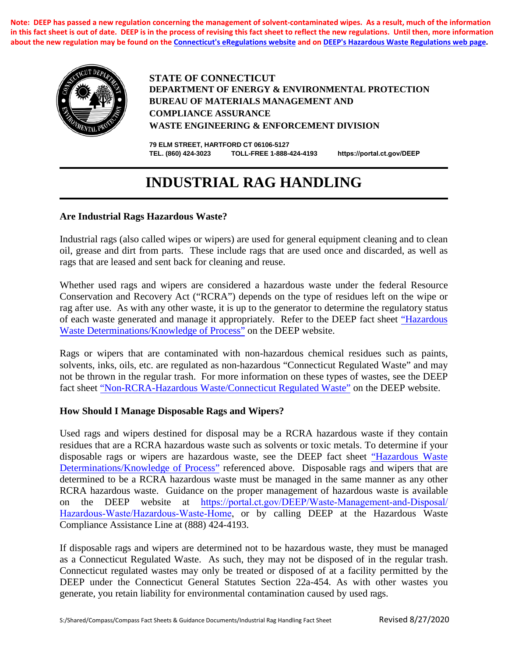**Note: DEEP has passed a new regulation concerning the management of solvent-contaminated wipes. As a result, much of the information in this fact sheet is out of date. DEEP is in the process of revising this fact sheet to reflect the new regulations. Until then, more information about the new regulation may be found on the [Connecticut's eRegulations websit](https://eregulations.ct.gov/eRegsPortal/Search/getDocument?guid={00BD7799-9E1E-4AA7-A597-B359C6AC9E81})e and on [DEEP's Hazardous Waste Regulations web pa](http://www.ct.gov/deep/cwp/view.asp?a=2718&q=325436&deepNav_GID=1967)ge.**



**STATE OF CONNECTICUT DEPARTMENT OF ENERGY & ENVIRONMENTAL PROTECTION BUREAU OF MATERIALS MANAGEMENT AND COMPLIANCE ASSURANCE WASTE ENGINEERING & ENFORCEMENT DIVISION**

**79 ELM STREET, HARTFORD CT 06106-5127 TEL. (860) 424-3023 TOLL-FREE 1-888-424-4193 <https://portal.ct.gov/DEEP>**

# **INDUSTRIAL RAG HANDLING**

### **Are Industrial Rags Hazardous Waste?**

Industrial rags (also called wipes or wipers) are used for general equipment cleaning and to clean oil, grease and dirt from parts. These include rags that are used once and discarded, as well as rags that are leased and sent back for cleaning and reuse.

Whether used rags and wipers are considered a hazardous waste under the federal Resource Conservation and Recovery Act ("RCRA") depends on the type of residues left on the wipe or rag after use. As with any other waste, it is up to the generator to determine the regulatory status of each waste generated and manage it appropriately. Refer to the DEEP fact sheet ["Hazardous](http://www.ct.gov/deep/cwp/view.asp?a=2718&q=325422&deepNav_GID=1967)  [Waste Determinations/Knowledge of Process"](https://portal.ct.gov/DEEP/Waste-Management-and-Disposal/Hazardous-Waste/Hazardous-Waste-Determinations) on the DEEP website.

Rags or wipers that are contaminated with non-hazardous chemical residues such as paints, solvents, inks, oils, etc. are regulated as non-hazardous "Connecticut Regulated Waste" and may not be thrown in the regular trash. For more information on these types of wastes, see the DEEP fact sheet ["Non-RCRA-Hazardous Waste/Connecticut Regulated Waste"](https://portal.ct.gov/DEEP/Waste-Management-and-Disposal/Hazardous-Waste/Connecticut-Regulated-Waste) on the DEEP website.

#### **How Should I Manage Disposable Rags and Wipers?**

Used rags and wipers destined for disposal may be a RCRA hazardous waste if they contain residues that are a RCRA hazardous waste such as solvents or toxic metals. To determine if your disposable rags or wipers are hazardous waste, see the DEEP fact sheet ["Hazardous Waste](http://www.ct.gov/deep/cwp/view.asp?a=2718&q=325422&deepNav_GID=1967)  [Determinations/Knowledge of Process"](https://portal.ct.gov/DEEP/Waste-Management-and-Disposal/Hazardous-Waste/Hazardous-Waste-Determinations) referenced above. Disposable rags and wipers that are determined to be a RCRA hazardous waste must be managed in the same manner as any other RCRA hazardous waste. Guidance on the proper management of hazardous waste is available on the DEEP website [at https://portal.ct.gov/DEEP/Waste-Management-and-Disposal/](https://portal.ct.gov/DEEP/Waste-Management-and-Disposal/Hazardous-Waste/Hazardous-Waste-Home) Hazardous-Waste/Hazardous-Waste-Home, or by calling DEEP at the Hazardous Waste Compliance Assistance Line at (888) 424-4193.

If disposable rags and wipers are determined not to be hazardous waste, they must be managed as a Connecticut Regulated Waste. As such, they may not be disposed of in the regular trash. Connecticut regulated wastes may only be treated or disposed of at a facility permitted by the DEEP under the Connecticut General Statutes Section 22a-454. As with other wastes you generate, you retain liability for environmental contamination caused by used rags.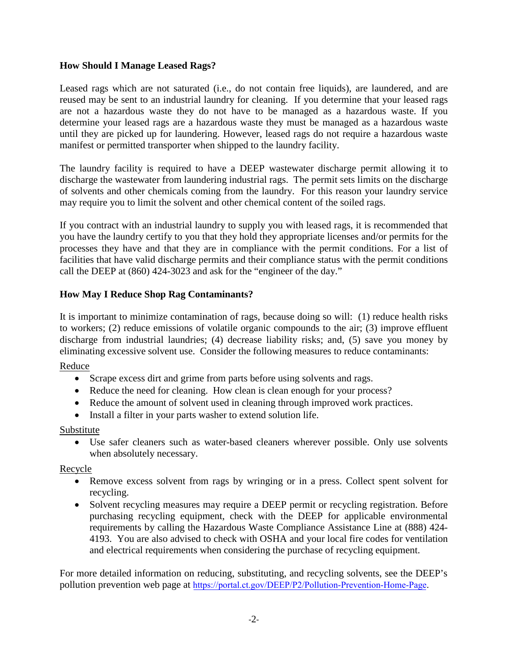### **How Should I Manage Leased Rags?**

Leased rags which are not saturated (i.e., do not contain free liquids), are laundered, and are reused may be sent to an industrial laundry for cleaning. If you determine that your leased rags are not a hazardous waste they do not have to be managed as a hazardous waste. If you determine your leased rags are a hazardous waste they must be managed as a hazardous waste until they are picked up for laundering. However, leased rags do not require a hazardous waste manifest or permitted transporter when shipped to the laundry facility.

The laundry facility is required to have a DEEP wastewater discharge permit allowing it to discharge the wastewater from laundering industrial rags. The permit sets limits on the discharge of solvents and other chemicals coming from the laundry. For this reason your laundry service may require you to limit the solvent and other chemical content of the soiled rags.

If you contract with an industrial laundry to supply you with leased rags, it is recommended that you have the laundry certify to you that they hold they appropriate licenses and/or permits for the processes they have and that they are in compliance with the permit conditions. For a list of facilities that have valid discharge permits and their compliance status with the permit conditions call the DEEP at (860) 424-3023 and ask for the "engineer of the day."

# **How May I Reduce Shop Rag Contaminants?**

It is important to minimize contamination of rags, because doing so will: (1) reduce health risks to workers; (2) reduce emissions of volatile organic compounds to the air; (3) improve effluent discharge from industrial laundries; (4) decrease liability risks; and, (5) save you money by eliminating excessive solvent use. Consider the following measures to reduce contaminants:

Reduce

- Scrape excess dirt and grime from parts before using solvents and rags.
- Reduce the need for cleaning. How clean is clean enough for your process?
- Reduce the amount of solvent used in cleaning through improved work practices.
- Install a filter in your parts washer to extend solution life.

# Substitute

• Use safer cleaners such as water-based cleaners wherever possible. Only use solvents when absolutely necessary.

# Recycle

- Remove excess solvent from rags by wringing or in a press. Collect spent solvent for recycling.
- Solvent recycling measures may require a DEEP permit or recycling registration. Before purchasing recycling equipment, check with the DEEP for applicable environmental requirements by calling the Hazardous Waste Compliance Assistance Line at (888) 424- 4193. You are also advised to check with OSHA and your local fire codes for ventilation and electrical requirements when considering the purchase of recycling equipment.

For more detailed information on reducing, substituting, and recycling solvents, see the DEEP's pollution prevention web page at <https://portal.ct.gov/DEEP/P2/Pollution-Prevention-Home-Page>.